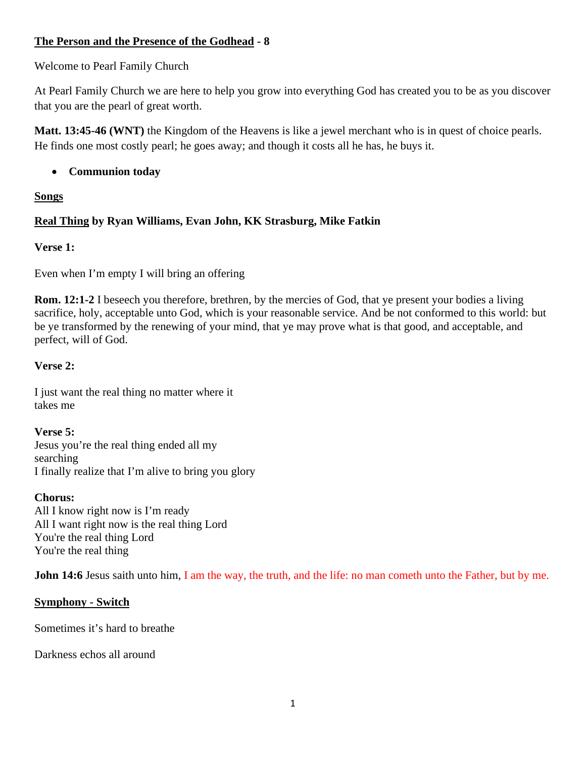# **The Person and the Presence of the Godhead - 8**

Welcome to Pearl Family Church

At Pearl Family Church we are here to help you grow into everything God has created you to be as you discover that you are the pearl of great worth.

**Matt. 13:45-46 (WNT)** the Kingdom of the Heavens is like a jewel merchant who is in quest of choice pearls. He finds one most costly pearl; he goes away; and though it costs all he has, he buys it.

### • **Communion today**

### **Songs**

# **Real Thing by Ryan Williams, Evan John, KK Strasburg, Mike Fatkin**

**Verse 1:**

Even when I'm empty I will bring an offering

**Rom. 12:1-2** I beseech you therefore, brethren, by the mercies of God, that ye present your bodies a living sacrifice, holy, acceptable unto God, which is your reasonable service. And be not conformed to this world: but be ye transformed by the renewing of your mind, that ye may prove what is that good, and acceptable, and perfect, will of God.

### **Verse 2:**

I just want the real thing no matter where it takes me

**Verse 5:** Jesus you're the real thing ended all my searching I finally realize that I'm alive to bring you glory

# **Chorus:**

All I know right now is I'm ready All I want right now is the real thing Lord You're the real thing Lord You're the real thing

**John 14:6** Jesus saith unto him, I am the way, the truth, and the life: no man cometh unto the Father, but by me.

# **Symphony - Switch**

Sometimes it's hard to breathe

Darkness echos all around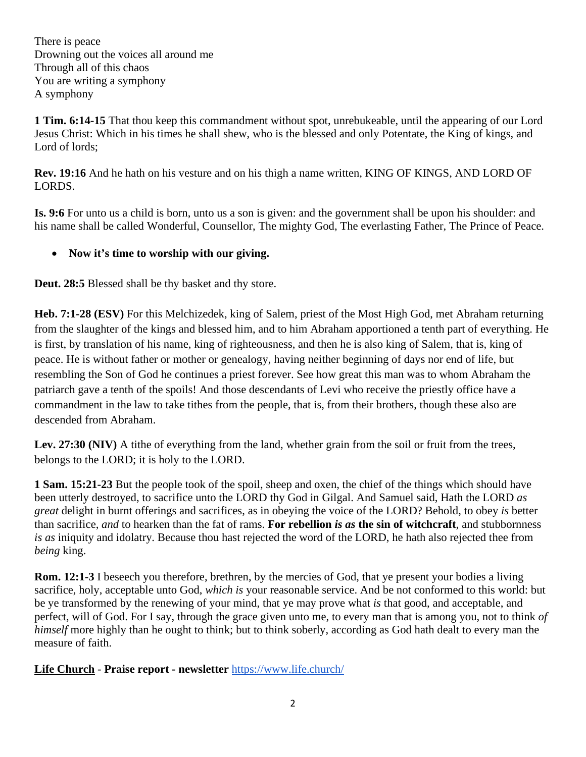There is peace Drowning out the voices all around me Through all of this chaos You are writing a symphony A symphony

**1 Tim. 6:14-15** That thou keep this commandment without spot, unrebukeable, until the appearing of our Lord Jesus Christ: Which in his times he shall shew, who is the blessed and only Potentate, the King of kings, and Lord of lords;

**Rev. 19:16** And he hath on his vesture and on his thigh a name written, KING OF KINGS, AND LORD OF LORDS.

**Is. 9:6** For unto us a child is born, unto us a son is given: and the government shall be upon his shoulder: and his name shall be called Wonderful, Counsellor, The mighty God, The everlasting Father, The Prince of Peace.

# • **Now it's time to worship with our giving.**

**Deut. 28:5** Blessed shall be thy basket and thy store.

**Heb. 7:1-28 (ESV)** For this Melchizedek, king of Salem, priest of the Most High God, met Abraham returning from the slaughter of the kings and blessed him, and to him Abraham apportioned a tenth part of everything. He is first, by translation of his name, king of righteousness, and then he is also king of Salem, that is, king of peace. He is without father or mother or genealogy, having neither beginning of days nor end of life, but resembling the Son of God he continues a priest forever. See how great this man was to whom Abraham the patriarch gave a tenth of the spoils! And those descendants of Levi who receive the priestly office have a commandment in the law to take tithes from the people, that is, from their brothers, though these also are descended from Abraham.

Lev. 27:30 (NIV) A tithe of everything from the land, whether grain from the soil or fruit from the trees, belongs to the LORD; it is holy to the LORD.

**1 Sam. 15:21-23** But the people took of the spoil, sheep and oxen, the chief of the things which should have been utterly destroyed, to sacrifice unto the LORD thy God in Gilgal. And Samuel said, Hath the LORD *as great* delight in burnt offerings and sacrifices, as in obeying the voice of the LORD? Behold, to obey *is* better than sacrifice, *and* to hearken than the fat of rams. **For rebellion** *is as* **the sin of witchcraft**, and stubbornness *is as* iniquity and idolatry. Because thou hast rejected the word of the LORD, he hath also rejected thee from *being* king.

**Rom. 12:1-3** I beseech you therefore, brethren, by the mercies of God, that ye present your bodies a living sacrifice, holy, acceptable unto God, *which is* your reasonable service. And be not conformed to this world: but be ye transformed by the renewing of your mind, that ye may prove what *is* that good, and acceptable, and perfect, will of God. For I say, through the grace given unto me, to every man that is among you, not to think *of himself* more highly than he ought to think; but to think soberly, according as God hath dealt to every man the measure of faith.

**Life Church** - **Praise report - newsletter** <https://www.life.church/>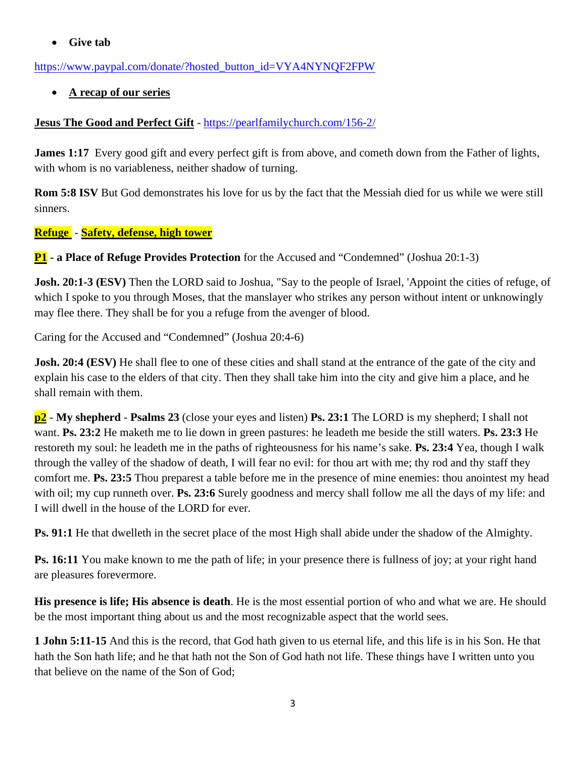• **Give tab**

[https://www.paypal.com/donate/?hosted\\_button\\_id=VYA4NYNQF2FPW](https://www.paypal.com/donate/?hosted_button_id=VYA4NYNQF2FPW)

• **A recap of our series**

# **Jesus The Good and Perfect Gift** - <https://pearlfamilychurch.com/156-2/>

**James 1:17** Every good gift and every perfect gift is from above, and cometh down from the Father of lights, with whom is no variableness, neither shadow of turning.

**Rom 5:8 ISV** But God demonstrates his love for us by the fact that the Messiah died for us while we were still sinners.

### **Refuge** - **Safety, defense, high tower**

**P1 - a Place of Refuge Provides Protection** for the Accused and "Condemned" (Joshua 20:1-3)

**Josh. 20:1-3 (ESV)** Then the LORD said to Joshua, "Say to the people of Israel, 'Appoint the cities of refuge, of which I spoke to you through Moses, that the manslayer who strikes any person without intent or unknowingly may flee there. They shall be for you a refuge from the avenger of blood.

Caring for the Accused and "Condemned" (Joshua 20:4-6)

**Josh. 20:4 (ESV)** He shall flee to one of these cities and shall stand at the entrance of the gate of the city and explain his case to the elders of that city. Then they shall take him into the city and give him a place, and he shall remain with them.

**p2** - **My shepherd** - **Psalms 23** (close your eyes and listen) **Ps. 23:1** The LORD is my shepherd; I shall not want. **Ps. 23:2** He maketh me to lie down in green pastures: he leadeth me beside the still waters. **Ps. 23:3** He restoreth my soul: he leadeth me in the paths of righteousness for his name's sake. **Ps. 23:4** Yea, though I walk through the valley of the shadow of death, I will fear no evil: for thou art with me; thy rod and thy staff they comfort me. **Ps. 23:5** Thou preparest a table before me in the presence of mine enemies: thou anointest my head with oil; my cup runneth over. **Ps. 23:6** Surely goodness and mercy shall follow me all the days of my life: and I will dwell in the house of the LORD for ever.

**Ps. 91:1** He that dwelleth in the secret place of the most High shall abide under the shadow of the Almighty.

**Ps. 16:11** You make known to me the path of life; in your presence there is fullness of joy; at your right hand are pleasures forevermore.

**His presence is life; His absence is death**. He is the most essential portion of who and what we are. He should be the most important thing about us and the most recognizable aspect that the world sees.

**1 John 5:11-15** And this is the record, that God hath given to us eternal life, and this life is in his Son. He that hath the Son hath life; and he that hath not the Son of God hath not life. These things have I written unto you that believe on the name of the Son of God;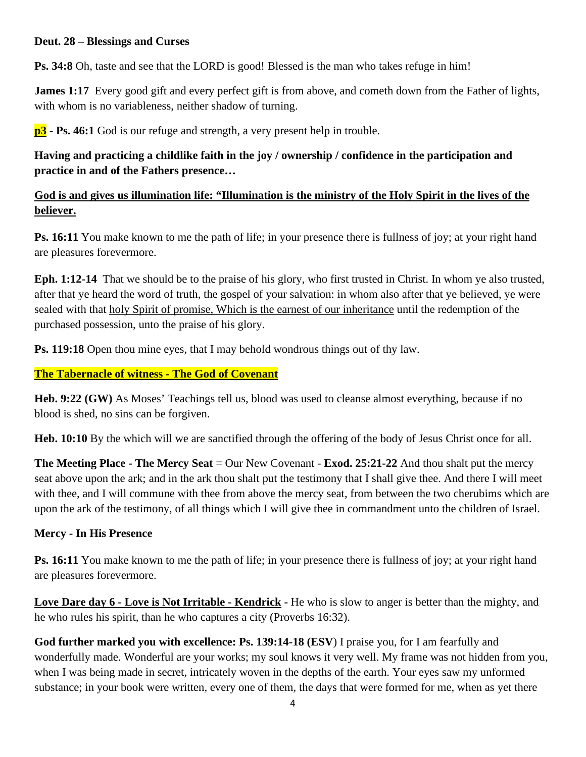#### **Deut. 28 – Blessings and Curses**

**Ps. 34:8** Oh, taste and see that the LORD is good! Blessed is the man who takes refuge in him!

**James 1:17** Every good gift and every perfect gift is from above, and cometh down from the Father of lights, with whom is no variableness, neither shadow of turning.

**p3** - **Ps. 46:1** God is our refuge and strength, a very present help in trouble.

# **Having and practicing a childlike faith in the joy / ownership / confidence in the participation and practice in and of the Fathers presence…**

**God is and gives us illumination life: "Illumination is the ministry of the Holy Spirit in the lives of the believer.**

**Ps. 16:11** You make known to me the path of life; in your presence there is fullness of joy; at your right hand are pleasures forevermore.

**Eph. 1:12-14** That we should be to the praise of his glory, who first trusted in Christ. In whom ye also trusted, after that ye heard the word of truth, the gospel of your salvation: in whom also after that ye believed, ye were sealed with that holy Spirit of promise, Which is the earnest of our inheritance until the redemption of the purchased possession, unto the praise of his glory.

**Ps. 119:18** Open thou mine eyes, that I may behold wondrous things out of thy law.

#### **The Tabernacle of witness - The God of Covenant**

**Heb. 9:22 (GW)** As Moses' Teachings tell us, blood was used to cleanse almost everything, because if no blood is shed, no sins can be forgiven.

**Heb. 10:10** By the which will we are sanctified through the offering of the body of Jesus Christ once for all.

**The Meeting Place - The Mercy Seat** = Our New Covenant - **Exod. 25:21-22** And thou shalt put the mercy seat above upon the ark; and in the ark thou shalt put the testimony that I shall give thee. And there I will meet with thee, and I will commune with thee from above the mercy seat, from between the two cherubims which are upon the ark of the testimony, of all things which I will give thee in commandment unto the children of Israel.

#### **Mercy - In His Presence**

**Ps. 16:11** You make known to me the path of life; in your presence there is fullness of joy; at your right hand are pleasures forevermore.

**Love Dare day 6 - Love is Not Irritable - Kendrick -** He who is slow to anger is better than the mighty, and he who rules his spirit, than he who captures a city (Proverbs 16:32).

**God further marked you with excellence: Ps. 139:14-18 (ESV**) I praise you, for I am fearfully and wonderfully made. Wonderful are your works; my soul knows it very well. My frame was not hidden from you, when I was being made in secret, intricately woven in the depths of the earth. Your eyes saw my unformed substance; in your book were written, every one of them, the days that were formed for me, when as yet there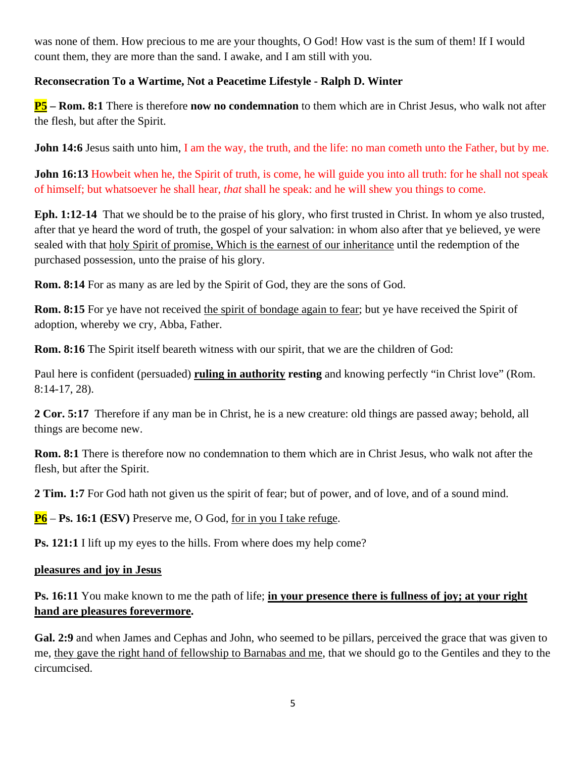was none of them. How precious to me are your thoughts, O God! How vast is the sum of them! If I would count them, they are more than the sand. I awake, and I am still with you.

# **Reconsecration To a Wartime, Not a Peacetime Lifestyle - Ralph D. Winter**

**P5 – Rom. 8:1** There is therefore **now no condemnation** to them which are in Christ Jesus, who walk not after the flesh, but after the Spirit.

**John 14:6** Jesus saith unto him, I am the way, the truth, and the life: no man cometh unto the Father, but by me.

**John 16:13** Howbeit when he, the Spirit of truth, is come, he will guide you into all truth: for he shall not speak of himself; but whatsoever he shall hear, *that* shall he speak: and he will shew you things to come.

**Eph. 1:12-14** That we should be to the praise of his glory, who first trusted in Christ. In whom ye also trusted, after that ye heard the word of truth, the gospel of your salvation: in whom also after that ye believed, ye were sealed with that holy Spirit of promise, Which is the earnest of our inheritance until the redemption of the purchased possession, unto the praise of his glory.

**Rom. 8:14** For as many as are led by the Spirit of God, they are the sons of God.

**Rom. 8:15** For ye have not received the spirit of bondage again to fear; but ye have received the Spirit of adoption, whereby we cry, Abba, Father.

**Rom. 8:16** The Spirit itself beareth witness with our spirit, that we are the children of God:

Paul here is confident (persuaded) **ruling in authority resting** and knowing perfectly "in Christ love" (Rom. 8:14-17, 28).

**2 Cor. 5:17** Therefore if any man be in Christ, he is a new creature: old things are passed away; behold, all things are become new.

**Rom. 8:1** There is therefore now no condemnation to them which are in Christ Jesus, who walk not after the flesh, but after the Spirit.

**2 Tim. 1:7** For God hath not given us the spirit of fear; but of power, and of love, and of a sound mind.

**P6** – **Ps. 16:1 (ESV)** Preserve me, O God, for in you I take refuge.

**Ps. 121:1** I lift up my eyes to the hills. From where does my help come?

#### **pleasures and joy in Jesus**

**Ps. 16:11** You make known to me the path of life; **in your presence there is fullness of joy; at your right hand are pleasures forevermore.**

**Gal. 2:9** and when James and Cephas and John, who seemed to be pillars, perceived the grace that was given to me, they gave the right hand of fellowship to Barnabas and me, that we should go to the Gentiles and they to the circumcised.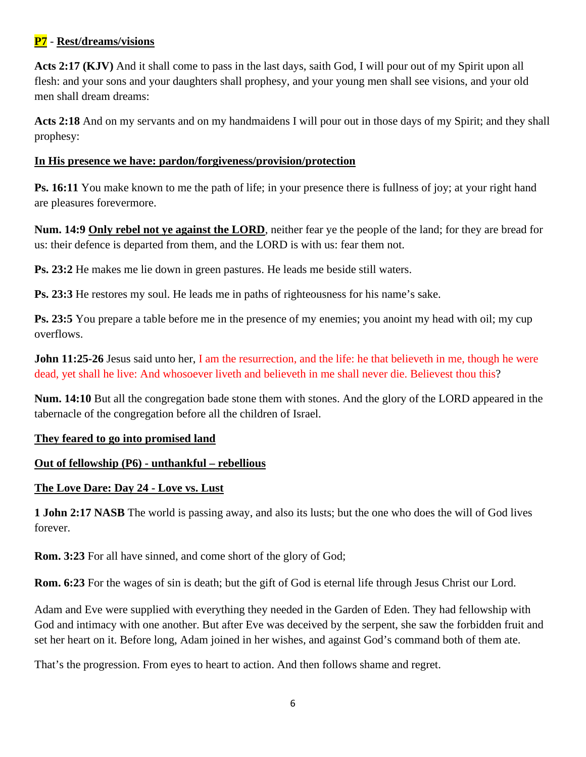### **P7** - **Rest/dreams/visions**

**Acts 2:17 (KJV)** And it shall come to pass in the last days, saith God, I will pour out of my Spirit upon all flesh: and your sons and your daughters shall prophesy, and your young men shall see visions, and your old men shall dream dreams:

**Acts 2:18** And on my servants and on my handmaidens I will pour out in those days of my Spirit; and they shall prophesy:

#### **In His presence we have: pardon/forgiveness/provision/protection**

**Ps. 16:11** You make known to me the path of life; in your presence there is fullness of joy; at your right hand are pleasures forevermore.

**Num. 14:9 Only rebel not ye against the LORD**, neither fear ye the people of the land; for they are bread for us: their defence is departed from them, and the LORD is with us: fear them not.

**Ps. 23:2** He makes me lie down in green pastures. He leads me beside still waters.

**Ps. 23:3** He restores my soul. He leads me in paths of righteousness for his name's sake.

**Ps. 23:5** You prepare a table before me in the presence of my enemies; you anoint my head with oil; my cup overflows.

**John 11:25-26** Jesus said unto her, I am the resurrection, and the life: he that believeth in me, though he were dead, yet shall he live: And whosoever liveth and believeth in me shall never die. Believest thou this?

**Num. 14:10** But all the congregation bade stone them with stones. And the glory of the LORD appeared in the tabernacle of the congregation before all the children of Israel.

#### **They feared to go into promised land**

#### **Out of fellowship (P6) - unthankful – rebellious**

#### **The Love Dare: Day 24 - Love vs. Lust**

**1 John 2:17 NASB** The world is passing away, and also its lusts; but the one who does the will of God lives forever.

**Rom. 3:23** For all have sinned, and come short of the glory of God;

**Rom. 6:23** For the wages of sin is death; but the gift of God is eternal life through Jesus Christ our Lord.

Adam and Eve were supplied with everything they needed in the Garden of Eden. They had fellowship with God and intimacy with one another. But after Eve was deceived by the serpent, she saw the forbidden fruit and set her heart on it. Before long, Adam joined in her wishes, and against God's command both of them ate.

That's the progression. From eyes to heart to action. And then follows shame and regret.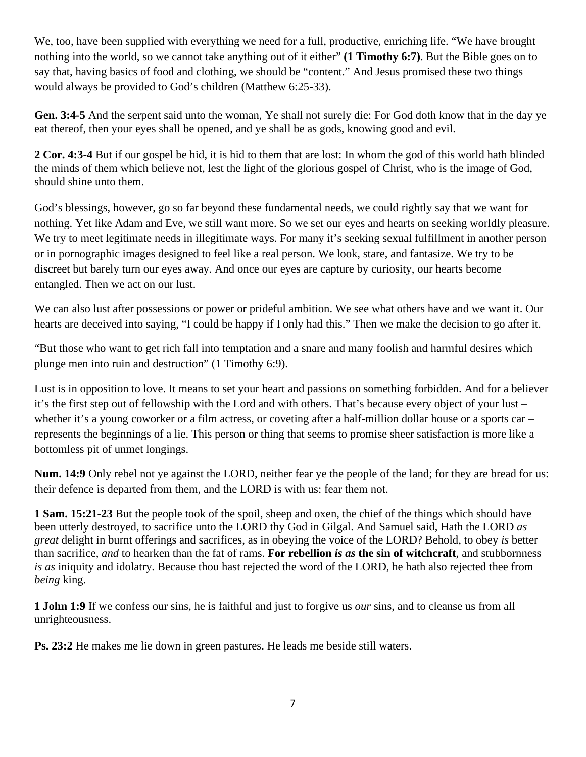We, too, have been supplied with everything we need for a full, productive, enriching life. "We have brought nothing into the world, so we cannot take anything out of it either" **(1 Timothy 6:7)**. But the Bible goes on to say that, having basics of food and clothing, we should be "content." And Jesus promised these two things would always be provided to God's children (Matthew 6:25-33).

**Gen. 3:4-5** And the serpent said unto the woman, Ye shall not surely die: For God doth know that in the day ye eat thereof, then your eyes shall be opened, and ye shall be as gods, knowing good and evil.

**2 Cor. 4:3-4** But if our gospel be hid, it is hid to them that are lost: In whom the god of this world hath blinded the minds of them which believe not, lest the light of the glorious gospel of Christ, who is the image of God, should shine unto them.

God's blessings, however, go so far beyond these fundamental needs, we could rightly say that we want for nothing. Yet like Adam and Eve, we still want more. So we set our eyes and hearts on seeking worldly pleasure. We try to meet legitimate needs in illegitimate ways. For many it's seeking sexual fulfillment in another person or in pornographic images designed to feel like a real person. We look, stare, and fantasize. We try to be discreet but barely turn our eyes away. And once our eyes are capture by curiosity, our hearts become entangled. Then we act on our lust.

We can also lust after possessions or power or prideful ambition. We see what others have and we want it. Our hearts are deceived into saying, "I could be happy if I only had this." Then we make the decision to go after it.

"But those who want to get rich fall into temptation and a snare and many foolish and harmful desires which plunge men into ruin and destruction" (1 Timothy 6:9).

Lust is in opposition to love. It means to set your heart and passions on something forbidden. And for a believer it's the first step out of fellowship with the Lord and with others. That's because every object of your lust – whether it's a young coworker or a film actress, or coveting after a half-million dollar house or a sports car – represents the beginnings of a lie. This person or thing that seems to promise sheer satisfaction is more like a bottomless pit of unmet longings.

**Num. 14:9** Only rebel not ye against the LORD, neither fear ye the people of the land; for they are bread for us: their defence is departed from them, and the LORD is with us: fear them not.

**1 Sam. 15:21-23** But the people took of the spoil, sheep and oxen, the chief of the things which should have been utterly destroyed, to sacrifice unto the LORD thy God in Gilgal. And Samuel said, Hath the LORD *as great* delight in burnt offerings and sacrifices, as in obeying the voice of the LORD? Behold, to obey *is* better than sacrifice, *and* to hearken than the fat of rams. **For rebellion** *is as* **the sin of witchcraft**, and stubbornness *is as* iniquity and idolatry. Because thou hast rejected the word of the LORD, he hath also rejected thee from *being* king.

**1 John 1:9** If we confess our sins, he is faithful and just to forgive us *our* sins, and to cleanse us from all unrighteousness.

**Ps. 23:2** He makes me lie down in green pastures. He leads me beside still waters.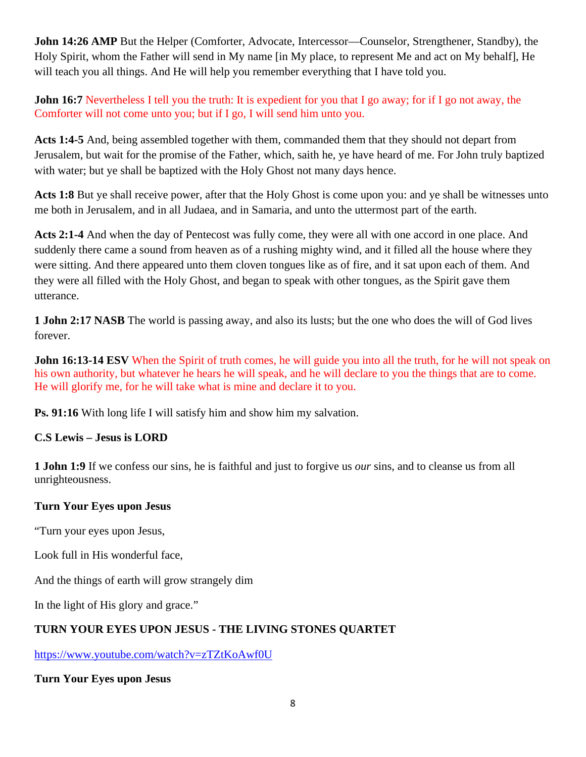**John 14:26 AMP** But the Helper (Comforter, Advocate, Intercessor—Counselor, Strengthener, Standby), the Holy Spirit, whom the Father will send in My name [in My place, to represent Me and act on My behalf], He will teach you all things. And He will help you remember everything that I have told you.

**John 16:7** Nevertheless I tell you the truth: It is expedient for you that I go away; for if I go not away, the Comforter will not come unto you; but if I go, I will send him unto you.

**Acts 1:4-5** And, being assembled together with them, commanded them that they should not depart from Jerusalem, but wait for the promise of the Father, which, saith he, ye have heard of me. For John truly baptized with water; but ye shall be baptized with the Holy Ghost not many days hence.

**Acts 1:8** But ye shall receive power, after that the Holy Ghost is come upon you: and ye shall be witnesses unto me both in Jerusalem, and in all Judaea, and in Samaria, and unto the uttermost part of the earth.

**Acts 2:1-4** And when the day of Pentecost was fully come, they were all with one accord in one place. And suddenly there came a sound from heaven as of a rushing mighty wind, and it filled all the house where they were sitting. And there appeared unto them cloven tongues like as of fire, and it sat upon each of them. And they were all filled with the Holy Ghost, and began to speak with other tongues, as the Spirit gave them utterance.

**1 John 2:17 NASB** The world is passing away, and also its lusts; but the one who does the will of God lives forever.

**John 16:13-14 ESV** When the Spirit of truth comes, he will guide you into all the truth, for he will not speak on his own authority, but whatever he hears he will speak, and he will declare to you the things that are to come. He will glorify me, for he will take what is mine and declare it to you.

**Ps. 91:16** With long life I will satisfy him and show him my salvation.

#### **C.S Lewis – Jesus is LORD**

**1 John 1:9** If we confess our sins, he is faithful and just to forgive us *our* sins, and to cleanse us from all unrighteousness.

#### **Turn Your Eyes upon Jesus**

"Turn your eyes upon Jesus,

Look full in His wonderful face,

And the things of earth will grow strangely dim

In the light of His glory and grace."

# **TURN YOUR EYES UPON JESUS - THE LIVING STONES QUARTET**

<https://www.youtube.com/watch?v=zTZtKoAwf0U>

# **Turn Your Eyes upon Jesus**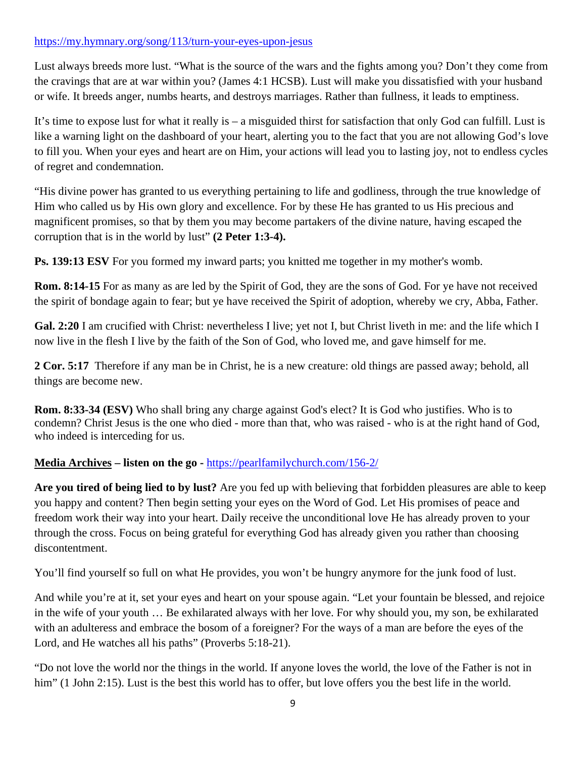### <https://my.hymnary.org/song/113/turn-your-eyes-upon-jesus>

Lust always breeds more lust. "What is the source of the wars and the fights among you? Don't they come from the cravings that are at war within you? (James 4:1 HCSB). Lust will make you dissatisfied with your husband or wife. It breeds anger, numbs hearts, and destroys marriages. Rather than fullness, it leads to emptiness.

It's time to expose lust for what it really is – a misguided thirst for satisfaction that only God can fulfill. Lust is like a warning light on the dashboard of your heart, alerting you to the fact that you are not allowing God's love to fill you. When your eyes and heart are on Him, your actions will lead you to lasting joy, not to endless cycles of regret and condemnation.

"His divine power has granted to us everything pertaining to life and godliness, through the true knowledge of Him who called us by His own glory and excellence. For by these He has granted to us His precious and magnificent promises, so that by them you may become partakers of the divine nature, having escaped the corruption that is in the world by lust" **(2 Peter 1:3-4).**

**Ps. 139:13 ESV** For you formed my inward parts; you knitted me together in my mother's womb.

**Rom. 8:14-15** For as many as are led by the Spirit of God, they are the sons of God. For ye have not received the spirit of bondage again to fear; but ye have received the Spirit of adoption, whereby we cry, Abba, Father.

**Gal. 2:20** I am crucified with Christ: nevertheless I live; yet not I, but Christ liveth in me: and the life which I now live in the flesh I live by the faith of the Son of God, who loved me, and gave himself for me.

**2 Cor. 5:17** Therefore if any man be in Christ, he is a new creature: old things are passed away; behold, all things are become new.

**Rom. 8:33-34 (ESV)** Who shall bring any charge against God's elect? It is God who justifies. Who is to condemn? Christ Jesus is the one who died - more than that, who was raised - who is at the right hand of God, who indeed is interceding for us.

# **Media Archives – listen on the go -** <https://pearlfamilychurch.com/156-2/>

**Are you tired of being lied to by lust?** Are you fed up with believing that forbidden pleasures are able to keep you happy and content? Then begin setting your eyes on the Word of God. Let His promises of peace and freedom work their way into your heart. Daily receive the unconditional love He has already proven to your through the cross. Focus on being grateful for everything God has already given you rather than choosing discontentment.

You'll find yourself so full on what He provides, you won't be hungry anymore for the junk food of lust.

And while you're at it, set your eyes and heart on your spouse again. "Let your fountain be blessed, and rejoice in the wife of your youth … Be exhilarated always with her love. For why should you, my son, be exhilarated with an adulteress and embrace the bosom of a foreigner? For the ways of a man are before the eyes of the Lord, and He watches all his paths" (Proverbs 5:18-21).

"Do not love the world nor the things in the world. If anyone loves the world, the love of the Father is not in him" (1 John 2:15). Lust is the best this world has to offer, but love offers you the best life in the world.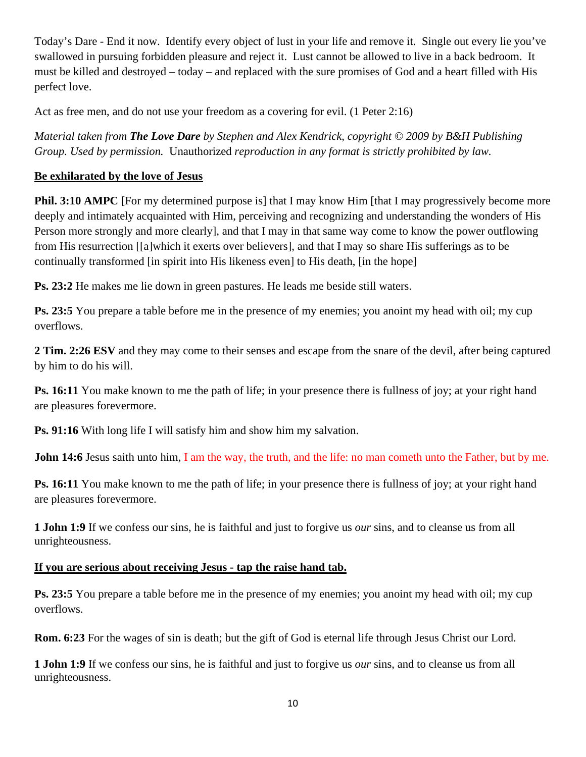Today's Dare - End it now. Identify every object of lust in your life and remove it. Single out every lie you've swallowed in pursuing forbidden pleasure and reject it. Lust cannot be allowed to live in a back bedroom. It must be killed and destroyed – today – and replaced with the sure promises of God and a heart filled with His perfect love.

Act as free men, and do not use your freedom as a covering for evil. (1 Peter 2:16)

*Material taken from The Love Dare by Stephen and Alex Kendrick, copyright © 2009 by B&H Publishing Group. Used by permission.* Unauthorized *reproduction in any format is strictly prohibited by law.*

# **Be exhilarated by the love of Jesus**

**Phil. 3:10 AMPC** [For my determined purpose is] that I may know Him [that I may progressively become more deeply and intimately acquainted with Him, perceiving and recognizing and understanding the wonders of His Person more strongly and more clearly], and that I may in that same way come to know the power outflowing from His resurrection [[a]which it exerts over believers], and that I may so share His sufferings as to be continually transformed [in spirit into His likeness even] to His death, [in the hope]

**Ps. 23:2** He makes me lie down in green pastures. He leads me beside still waters.

**Ps. 23:5** You prepare a table before me in the presence of my enemies; you anoint my head with oil; my cup overflows.

**2 Tim. 2:26 ESV** and they may come to their senses and escape from the snare of the devil, after being captured by him to do his will.

**Ps. 16:11** You make known to me the path of life; in your presence there is fullness of joy; at your right hand are pleasures forevermore.

**Ps. 91:16** With long life I will satisfy him and show him my salvation.

**John 14:6** Jesus saith unto him, I am the way, the truth, and the life: no man cometh unto the Father, but by me.

**Ps. 16:11** You make known to me the path of life; in your presence there is fullness of joy; at your right hand are pleasures forevermore.

**1 John 1:9** If we confess our sins, he is faithful and just to forgive us *our* sins, and to cleanse us from all unrighteousness.

#### **If you are serious about receiving Jesus - tap the raise hand tab.**

**Ps. 23:5** You prepare a table before me in the presence of my enemies; you anoint my head with oil; my cup overflows.

**Rom. 6:23** For the wages of sin is death; but the gift of God is eternal life through Jesus Christ our Lord.

**1 John 1:9** If we confess our sins, he is faithful and just to forgive us *our* sins, and to cleanse us from all unrighteousness.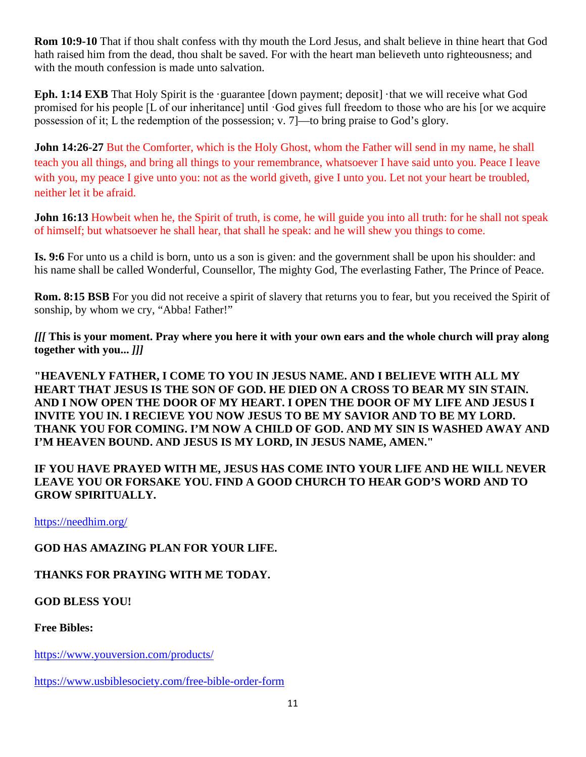**Rom 10:9-10** That if thou shalt confess with thy mouth the Lord Jesus, and shalt believe in thine heart that God hath raised him from the dead, thou shalt be saved. For with the heart man believeth unto righteousness; and with the mouth confession is made unto salvation.

**Eph. 1:14 EXB** That Holy Spirit is the ·guarantee [down payment; deposit] ·that we will receive what God promised for his people [L of our inheritance] until ·God gives full freedom to those who are his [or we acquire possession of it; L the redemption of the possession; v. 7]—to bring praise to God's glory.

**John 14:26-27** But the Comforter, which is the Holy Ghost, whom the Father will send in my name, he shall teach you all things, and bring all things to your remembrance, whatsoever I have said unto you. Peace I leave with you, my peace I give unto you: not as the world giveth, give I unto you. Let not your heart be troubled, neither let it be afraid.

**John 16:13** Howbeit when he, the Spirit of truth, is come, he will guide you into all truth: for he shall not speak of himself; but whatsoever he shall hear, that shall he speak: and he will shew you things to come.

**Is. 9:6** For unto us a child is born, unto us a son is given: and the government shall be upon his shoulder: and his name shall be called Wonderful, Counsellor, The mighty God, The everlasting Father, The Prince of Peace.

**Rom. 8:15 BSB** For you did not receive a spirit of slavery that returns you to fear, but you received the Spirit of sonship, by whom we cry, "Abba! Father!"

*[[[* **This is your moment. Pray where you here it with your own ears and the whole church will pray along together with you...** *]]]*

**"HEAVENLY FATHER, I COME TO YOU IN JESUS NAME. AND I BELIEVE WITH ALL MY HEART THAT JESUS IS THE SON OF GOD. HE DIED ON A CROSS TO BEAR MY SIN STAIN. AND I NOW OPEN THE DOOR OF MY HEART. I OPEN THE DOOR OF MY LIFE AND JESUS I INVITE YOU IN. I RECIEVE YOU NOW JESUS TO BE MY SAVIOR AND TO BE MY LORD. THANK YOU FOR COMING. I'M NOW A CHILD OF GOD. AND MY SIN IS WASHED AWAY AND I'M HEAVEN BOUND. AND JESUS IS MY LORD, IN JESUS NAME, AMEN."**

**IF YOU HAVE PRAYED WITH ME, JESUS HAS COME INTO YOUR LIFE AND HE WILL NEVER LEAVE YOU OR FORSAKE YOU. FIND A GOOD CHURCH TO HEAR GOD'S WORD AND TO GROW SPIRITUALLY.**

<https://needhim.org/>

**GOD HAS AMAZING PLAN FOR YOUR LIFE.**

**THANKS FOR PRAYING WITH ME TODAY.**

**GOD BLESS YOU!**

**Free Bibles:**

<https://www.youversion.com/products/>

<https://www.usbiblesociety.com/free-bible-order-form>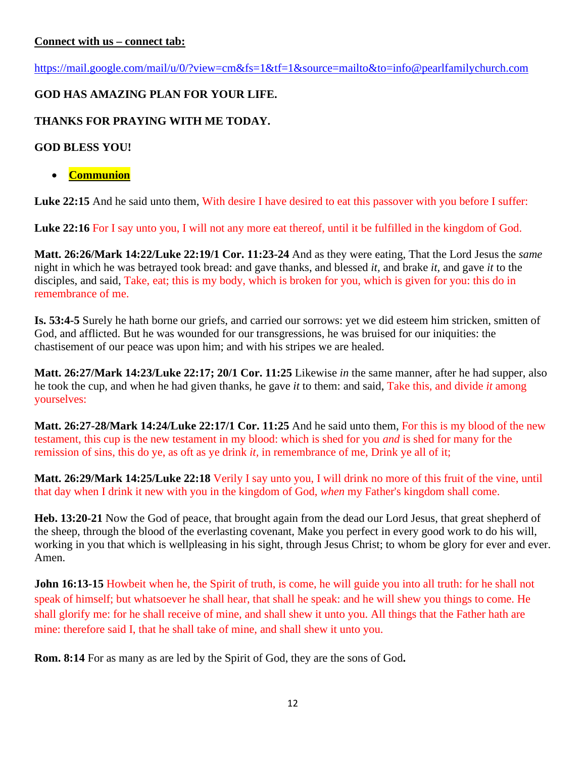<https://mail.google.com/mail/u/0/?view=cm&fs=1&tf=1&source=mailto&to=info@pearlfamilychurch.com>

# **GOD HAS AMAZING PLAN FOR YOUR LIFE.**

# **THANKS FOR PRAYING WITH ME TODAY.**

### **GOD BLESS YOU!**

• **Communion**

**Luke 22:15** And he said unto them, With desire I have desired to eat this passover with you before I suffer:

**Luke 22:16** For I say unto you, I will not any more eat thereof, until it be fulfilled in the kingdom of God.

**Matt. 26:26/Mark 14:22/Luke 22:19/1 Cor. 11:23-24** And as they were eating, That the Lord Jesus the *same* night in which he was betrayed took bread: and gave thanks, and blessed *it,* and brake *it,* and gave *it* to the disciples, and said, Take, eat; this is my body, which is broken for you, which is given for you: this do in remembrance of me.

**Is. 53:4-5** Surely he hath borne our griefs, and carried our sorrows: yet we did esteem him stricken, smitten of God, and afflicted. But he was wounded for our transgressions, he was bruised for our iniquities: the chastisement of our peace was upon him; and with his stripes we are healed.

**Matt. 26:27/Mark 14:23/Luke 22:17; 20/1 Cor. 11:25** Likewise *in* the same manner, after he had supper, also he took the cup, and when he had given thanks, he gave *it* to them: and said, Take this, and divide *it* among yourselves:

**Matt. 26:27-28/Mark 14:24/Luke 22:17/1 Cor. 11:25** And he said unto them, For this is my blood of the new testament, this cup is the new testament in my blood: which is shed for you *and* is shed for many for the remission of sins, this do ye, as oft as ye drink *it,* in remembrance of me, Drink ye all of it;

**Matt. 26:29/Mark 14:25/Luke 22:18** Verily I say unto you, I will drink no more of this fruit of the vine, until that day when I drink it new with you in the kingdom of God, *when* my Father's kingdom shall come.

**Heb. 13:20-21** Now the God of peace, that brought again from the dead our Lord Jesus, that great shepherd of the sheep, through the blood of the everlasting covenant, Make you perfect in every good work to do his will, working in you that which is wellpleasing in his sight, through Jesus Christ; to whom be glory for ever and ever. Amen.

**John 16:13-15** Howbeit when he, the Spirit of truth, is come, he will guide you into all truth: for he shall not speak of himself; but whatsoever he shall hear, that shall he speak: and he will shew you things to come. He shall glorify me: for he shall receive of mine, and shall shew it unto you. All things that the Father hath are mine: therefore said I, that he shall take of mine, and shall shew it unto you.

**Rom. 8:14** For as many as are led by the Spirit of God, they are the sons of God**.**